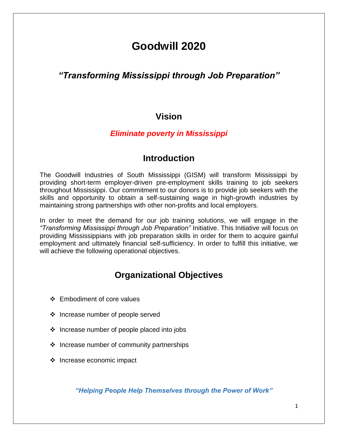# **Goodwill 2020**

#### *"Transforming Mississippi through Job Preparation"*

#### **Vision**

#### *Eliminate poverty in Mississippi*

#### **Introduction**

The Goodwill Industries of South Mississippi (GISM) will transform Mississippi by providing short-term employer-driven pre-employment skills training to job seekers throughout Mississippi. Our commitment to our donors is to provide job seekers with the skills and opportunity to obtain a self-sustaining wage in high-growth industries by maintaining strong partnerships with other non-profits and local employers.

In order to meet the demand for our job training solutions, we will engage in the *"Transforming Mississippi through Job Preparation"* Initiative. This Initiative will focus on providing Mississippians with job preparation skills in order for them to acquire gainful employment and ultimately financial self-sufficiency. In order to fulfill this initiative, we will achieve the following operational objectives.

#### **Organizational Objectives**

- Embodiment of core values
- ❖ Increase number of people served
- $\cdot \cdot$  Increase number of people placed into jobs
- $\cdot$  Increase number of community partnerships
- $\div$  Increase economic impact

*"Helping People Help Themselves through the Power of Work"*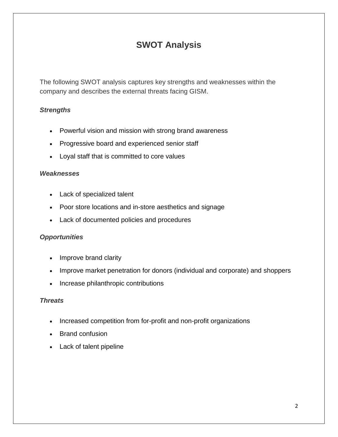# **SWOT Analysis**

The following SWOT analysis captures key strengths and weaknesses within the company and describes the external threats facing GISM.

#### *Strengths*

- Powerful vision and mission with strong brand awareness
- Progressive board and experienced senior staff
- Loyal staff that is committed to core values

#### *Weaknesses*

- Lack of specialized talent
- Poor store locations and in-store aesthetics and signage
- Lack of documented policies and procedures

#### *Opportunities*

- Improve brand clarity
- Improve market penetration for donors (individual and corporate) and shoppers
- Increase philanthropic contributions

#### *Threats*

- Increased competition from for-profit and non-profit organizations
- Brand confusion
- Lack of talent pipeline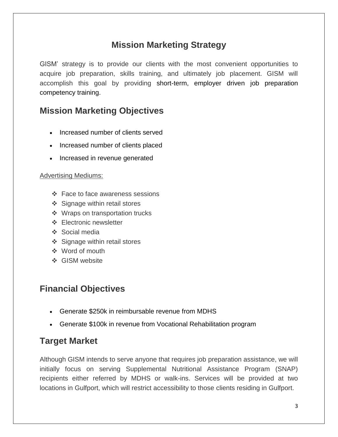## **Mission Marketing Strategy**

GISM' strategy is to provide our clients with the most convenient opportunities to acquire job preparation, skills training, and ultimately job placement. GISM will accomplish this goal by providing short-term, employer driven job preparation competency training.

#### **Mission Marketing Objectives**

- Increased number of clients served
- Increased number of clients placed
- Increased in revenue generated

#### Advertising Mediums:

- Face to face awareness sessions
- ❖ Signage within retail stores
- ❖ Wraps on transportation trucks
- **Electronic newsletter**
- Social media
- ❖ Signage within retail stores
- Word of mouth
- ❖ GISM website

# **Financial Objectives**

- Generate \$250k in reimbursable revenue from MDHS
- Generate \$100k in revenue from Vocational Rehabilitation program

### **Target Market**

Although GISM intends to serve anyone that requires job preparation assistance, we will initially focus on serving Supplemental Nutritional Assistance Program (SNAP) recipients either referred by MDHS or walk-ins. Services will be provided at two locations in Gulfport, which will restrict accessibility to those clients residing in Gulfport.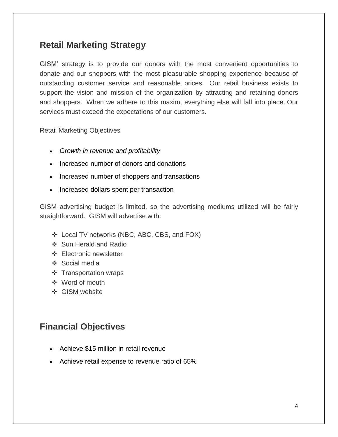### **Retail Marketing Strategy**

GISM' strategy is to provide our donors with the most convenient opportunities to donate and our shoppers with the most pleasurable shopping experience because of outstanding customer service and reasonable prices. Our retail business exists to support the vision and mission of the organization by attracting and retaining donors and shoppers. When we adhere to this maxim, everything else will fall into place. Our services must exceed the expectations of our customers.

Retail Marketing Objectives

- *Growth in revenue and profitability*
- Increased number of donors and donations
- Increased number of shoppers and transactions
- Increased dollars spent per transaction

GISM advertising budget is limited, so the advertising mediums utilized will be fairly straightforward. GISM will advertise with:

- Local TV networks (NBC, ABC, CBS, and FOX)
- ❖ Sun Herald and Radio
- **Electronic newsletter**
- ❖ Social media
- ❖ Transportation wraps
- Word of mouth
- GISM website

### **Financial Objectives**

- Achieve \$15 million in retail revenue
- Achieve retail expense to revenue ratio of 65%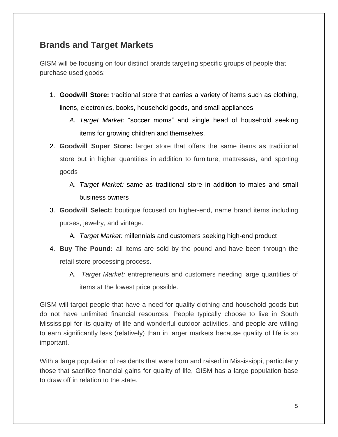#### **Brands and Target Markets**

GISM will be focusing on four distinct brands targeting specific groups of people that purchase used goods:

- 1. **Goodwill Store:** traditional store that carries a variety of items such as clothing, linens, electronics, books, household goods, and small appliances
	- *A. Target Market:* "soccer moms" and single head of household seeking items for growing children and themselves.
- 2. **Goodwill Super Store:** larger store that offers the same items as traditional store but in higher quantities in addition to furniture, mattresses, and sporting goods
	- A. *Target Market:* same as traditional store in addition to males and small business owners
- 3. **Goodwill Select:** boutique focused on higher-end, name brand items including purses, jewelry, and vintage.
	- A. *Target Market:* millennials and customers seeking high-end product
- 4. **Buy The Pound:** all items are sold by the pound and have been through the retail store processing process.
	- A. *Target Market:* entrepreneurs and customers needing large quantities of items at the lowest price possible.

GISM will target people that have a need for quality clothing and household goods but do not have unlimited financial resources. People typically choose to live in South Mississippi for its quality of life and wonderful outdoor activities, and people are willing to earn significantly less (relatively) than in larger markets because quality of life is so important.

With a large population of residents that were born and raised in Mississippi, particularly those that sacrifice financial gains for quality of life, GISM has a large population base to draw off in relation to the state.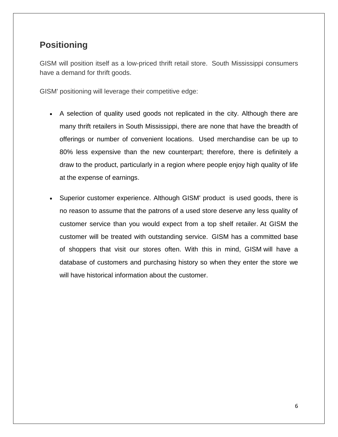#### **Positioning**

GISM will position itself as a low-priced thrift retail store. South Mississippi consumers have a demand for thrift goods.

GISM' positioning will leverage their competitive edge:

- A selection of quality used goods not replicated in the city. Although there are many thrift retailers in South Mississippi, there are none that have the breadth of offerings or number of convenient locations. Used merchandise can be up to 80% less expensive than the new counterpart; therefore, there is definitely a draw to the product, particularly in a region where people enjoy high quality of life at the expense of earnings.
- Superior customer experience. Although GISM' product is used goods, there is no reason to assume that the patrons of a used store deserve any less quality of customer service than you would expect from a top shelf retailer. At GISM the customer will be treated with outstanding service. GISM has a committed base of shoppers that visit our stores often. With this in mind, GISM will have a database of customers and purchasing history so when they enter the store we will have historical information about the customer.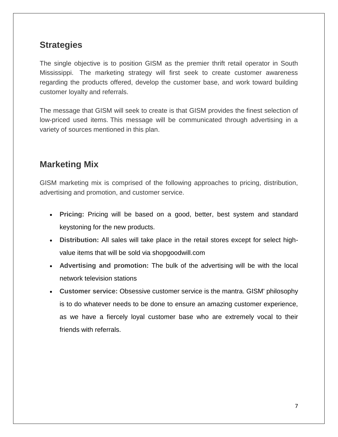#### **Strategies**

The single objective is to position GISM as the premier thrift retail operator in South Mississippi. The marketing strategy will first seek to create customer awareness regarding the products offered, develop the customer base, and work toward building customer loyalty and referrals.

The message that GISM will seek to create is that GISM provides the finest selection of low-priced used items. This message will be communicated through advertising in a variety of sources mentioned in this plan.

## **Marketing Mix**

GISM marketing mix is comprised of the following approaches to pricing, distribution, advertising and promotion, and customer service.

- **Pricing:** Pricing will be based on a good, better, best system and standard keystoning for the new products.
- **Distribution:** All sales will take place in the retail stores except for select highvalue items that will be sold via shopgoodwill.com
- **Advertising and promotion:** The bulk of the advertising will be with the local network television stations
- **Customer service:** Obsessive customer service is the mantra. GISM' philosophy is to do whatever needs to be done to ensure an amazing customer experience, as we have a fiercely loyal customer base who are extremely vocal to their friends with referrals.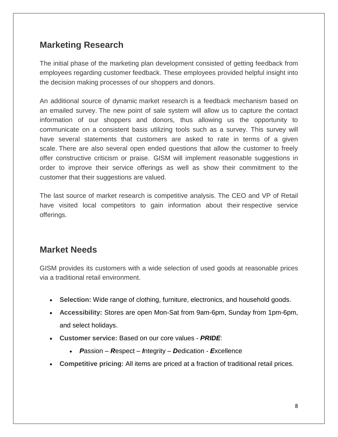### **Marketing Research**

The initial phase of the marketing plan development consisted of getting feedback from employees regarding customer feedback. These employees provided helpful insight into the decision making processes of our shoppers and donors.

An additional source of dynamic market research is a feedback mechanism based on an emailed survey. The new point of sale system will allow us to capture the contact information of our shoppers and donors, thus allowing us the opportunity to communicate on a consistent basis utilizing tools such as a survey. This survey will have several statements that customers are asked to rate in terms of a given scale. There are also several open ended questions that allow the customer to freely offer constructive criticism or praise. GISM will implement reasonable suggestions in order to improve their service offerings as well as show their commitment to the customer that their suggestions are valued.

The last source of market research is competitive analysis. The CEO and VP of Retail have visited local competitors to gain information about their respective service offerings.

### **Market Needs**

GISM provides its customers with a wide selection of used goods at reasonable prices via a traditional retail environment.

- **Selection:** Wide range of clothing, furniture, electronics, and household goods.
- **Accessibility:** Stores are open Mon-Sat from 9am-6pm, Sunday from 1pm-6pm, and select holidays.
- **Customer service:** Based on our core values *PRIDE*:
	- *P*assion *R*espect *I*ntegrity *D*edication *E*xcellence
- **Competitive pricing:** All items are priced at a fraction of traditional retail prices.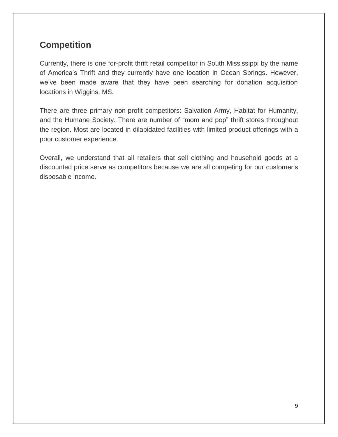# **Competition**

Currently, there is one for-profit thrift retail competitor in South Mississippi by the name of America's Thrift and they currently have one location in Ocean Springs. However, we've been made aware that they have been searching for donation acquisition locations in Wiggins, MS.

There are three primary non-profit competitors: Salvation Army, Habitat for Humanity, and the Humane Society. There are number of "mom and pop" thrift stores throughout the region. Most are located in dilapidated facilities with limited product offerings with a poor customer experience.

Overall, we understand that all retailers that sell clothing and household goods at a discounted price serve as competitors because we are all competing for our customer's disposable income.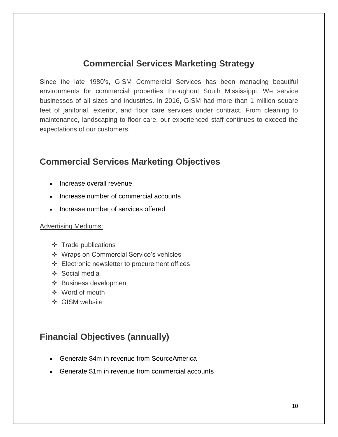### **Commercial Services Marketing Strategy**

Since the late 1980's, GISM Commercial Services has been managing beautiful environments for commercial properties throughout South Mississippi. We service businesses of all sizes and industries. In 2016, GISM had more than 1 million square feet of janitorial, exterior, and floor care services under contract. From cleaning to maintenance, landscaping to floor care, our experienced staff continues to exceed the expectations of our customers.

## **Commercial Services Marketing Objectives**

- Increase overall revenue
- Increase number of commercial accounts
- Increase number of services offered

#### Advertising Mediums:

- $\div$  Trade publications
- Wraps on Commercial Service's vehicles
- Electronic newsletter to procurement offices
- Social media
- ❖ Business development
- Word of mouth
- **State** GISM website

#### **Financial Objectives (annually)**

- Generate \$4m in revenue from SourceAmerica
- Generate \$1m in revenue from commercial accounts